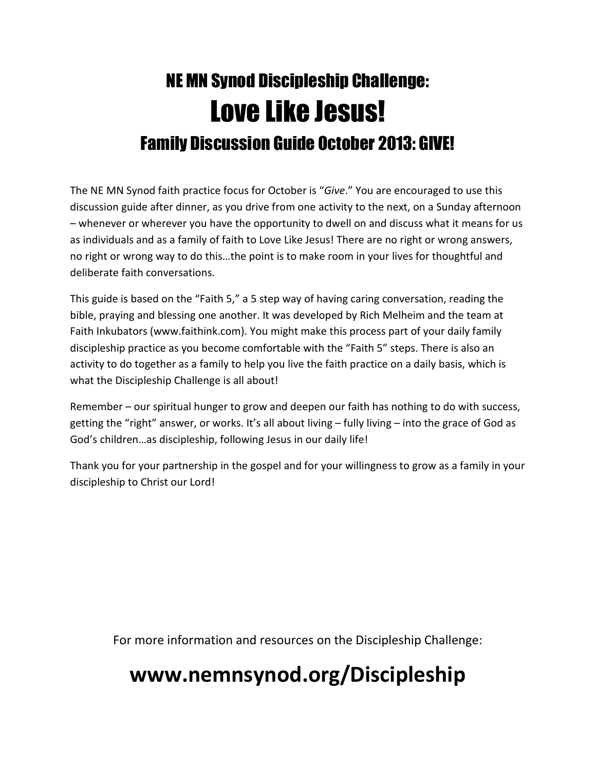# NE MN Synod Discipleship Challenge: Love Like Jesus! Family Discussion Guide October 2013: GIVE!

The NE MN Synod faith practice focus for October is "Give." You are encouraged to use this discussion guide after dinner, as you drive from one activity to the next, on a Sunday afternoon – whenever or wherever you have the opportunity to dwell on and discuss what it means for us as individuals and as a family of faith to Love Like Jesus! There are no right or wrong answers, no right or wrong way to do this…the point is to make room in your lives for thoughtful and deliberate faith conversations.

This guide is based on the "Faith 5," a 5 step way of having caring conversation, reading the bible, praying and blessing one another. It was developed by Rich Melheim and the team at Faith Inkubators (www.faithink.com). You might make this process part of your daily family discipleship practice as you become comfortable with the "Faith 5" steps. There is also an activity to do together as a family to help you live the faith practice on a daily basis, which is what the Discipleship Challenge is all about!

Remember – our spiritual hunger to grow and deepen our faith has nothing to do with success, getting the "right" answer, or works. It's all about living – fully living – into the grace of God as God's children…as discipleship, following Jesus in our daily life!

Thank you for your partnership in the gospel and for your willingness to grow as a family in your discipleship to Christ our Lord!

For more information and resources on the Discipleship Challenge:

## www.nemnsynod.org/Discipleship